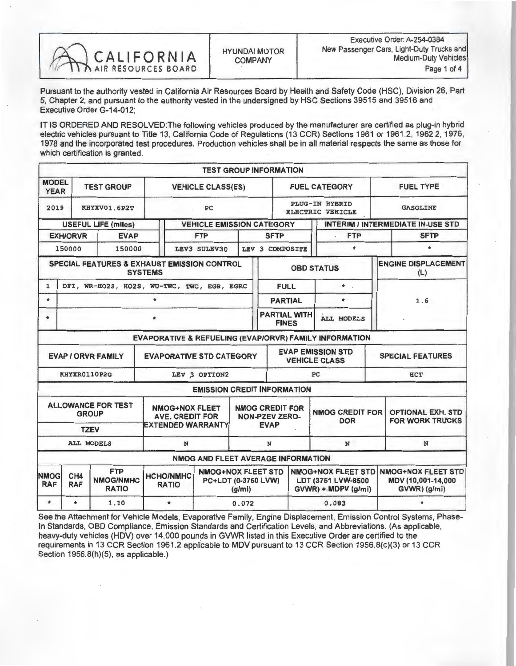

Pursuant to the authority vested in California Air Resources Board by Health and Safety Code (HSC), Division 26, Part 5, Chapter 2; and pursuant to the authority vested in the undersigned by HSC Sections 39515 and 39515 and<br>Executive Order O 14 049 Executive Order G-14-012;

IT IS ORDERED AND RESOLVED: The following vehicles produced by the manufacturer are certified as plug-in hybrid electric vehicles pursuant to Title 13, California Code of Regulations (13 CCR) Sections 1961 or 1961.2, 1962.2, 1976, 1978 and the incorporated test procedures. Production vehicles shall be in all material respects the same as those for which certification is granted.

|                                                              |                                                                                                                                                                       |                                                          |                                                                             | <b>TEST GROUP INFORMATION</b>      |                                                                        |                                                                                                        |         |                                                                 |                                                    |                                          |  |  |
|--------------------------------------------------------------|-----------------------------------------------------------------------------------------------------------------------------------------------------------------------|----------------------------------------------------------|-----------------------------------------------------------------------------|------------------------------------|------------------------------------------------------------------------|--------------------------------------------------------------------------------------------------------|---------|-----------------------------------------------------------------|----------------------------------------------------|------------------------------------------|--|--|
| <b>MODEL</b><br><b>YEAR</b>                                  | <b>TEST GROUP</b>                                                                                                                                                     |                                                          | <b>VEHICLE CLASS(ES)</b>                                                    |                                    |                                                                        | <b>FUEL CATEGORY</b>                                                                                   |         |                                                                 |                                                    | <b>FUEL TYPE</b>                         |  |  |
| 2019                                                         |                                                                                                                                                                       | KHYXV01.6P2T                                             | PC                                                                          |                                    |                                                                        | <b>PLUG-IN HYBRID</b><br><b>ELECTRIC VEHICLE</b>                                                       |         |                                                                 |                                                    | <b>GASOLINE</b>                          |  |  |
|                                                              |                                                                                                                                                                       | <b>USEFUL LIFE (miles)</b>                               |                                                                             | <b>VEHICLE EMISSION CATEGORY</b>   |                                                                        |                                                                                                        |         |                                                                 |                                                    | <b>INTERIM / INTERMEDIATE IN-USE STD</b> |  |  |
|                                                              | <b>EXH/ORVR</b>                                                                                                                                                       | <b>EVAP</b>                                              |                                                                             | <b>FTP</b>                         |                                                                        | <b>SFTP</b>                                                                                            |         | <b>FTP</b>                                                      |                                                    | <b>SFTP</b>                              |  |  |
|                                                              | 150000                                                                                                                                                                | 150000                                                   |                                                                             | LEV3 SULEV30<br>LEV 3 COMPOSITE    |                                                                        |                                                                                                        | $\star$ |                                                                 | $\star$                                            |                                          |  |  |
|                                                              |                                                                                                                                                                       | <b>SPECIAL FEATURES &amp; EXHAUST EMISSION CONTROL</b>   | <b>SYSTEMS</b>                                                              |                                    |                                                                        | <b>OBD STATUS</b>                                                                                      |         |                                                                 |                                                    | <b>ENGINE DISPLACEMENT</b><br>(L)        |  |  |
| $\mathbf{1}$                                                 |                                                                                                                                                                       | DFI, WR-HO2S, HO2S, WU-TWC, TWC, EGR, EGRC               |                                                                             |                                    |                                                                        | <b>FULL</b>                                                                                            |         | $\star$ .                                                       |                                                    |                                          |  |  |
| $\star$                                                      | ÷.                                                                                                                                                                    |                                                          |                                                                             |                                    |                                                                        |                                                                                                        |         | ÷                                                               | 1.6                                                |                                          |  |  |
| ÷                                                            |                                                                                                                                                                       |                                                          |                                                                             |                                    |                                                                        | <b>PARTIAL WITH</b><br><b>FINES</b>                                                                    |         | <b>ALL MODELS</b>                                               |                                                    |                                          |  |  |
|                                                              |                                                                                                                                                                       |                                                          |                                                                             |                                    |                                                                        |                                                                                                        |         | EVAPORATIVE & REFUELING (EVAP/ORVR) FAMILY INFORMATION          |                                                    |                                          |  |  |
| <b>EVAPORATIVE STD CATEGORY</b><br><b>EVAP / ORVR FAMILY</b> |                                                                                                                                                                       |                                                          |                                                                             |                                    |                                                                        | <b>EVAP EMISSION STD</b><br><b>VEHICLE CLASS</b>                                                       |         |                                                                 |                                                    | <b>SPECIAL FEATURES</b>                  |  |  |
|                                                              |                                                                                                                                                                       | KHYXR0110P2G                                             | LEV 3 OPTION2                                                               |                                    |                                                                        | PC                                                                                                     |         |                                                                 |                                                    | <b>HCT</b>                               |  |  |
|                                                              |                                                                                                                                                                       |                                                          |                                                                             | <b>EMISSION CREDIT INFORMATION</b> |                                                                        |                                                                                                        |         |                                                                 |                                                    |                                          |  |  |
|                                                              |                                                                                                                                                                       | <b>ALLOWANCE FOR TEST</b><br><b>GROUP</b><br><b>TZEV</b> | <b>NMOG+NOX FLEET</b><br><b>AVE. CREDIT FOR</b><br><b>EXTENDED WARRANTY</b> |                                    |                                                                        | <b>NMOG CREDIT FOR</b><br><b>NMOG CREDIT FOR</b><br><b>NON-PZEV ZERO-</b><br><b>DOR</b><br><b>EVAP</b> |         |                                                                 | <b>OPTIONAL EXH. STD</b><br><b>FOR WORK TRUCKS</b> |                                          |  |  |
|                                                              |                                                                                                                                                                       | <b>ALL MODELS</b>                                        | N                                                                           |                                    | N                                                                      | N                                                                                                      |         |                                                                 | N                                                  |                                          |  |  |
|                                                              |                                                                                                                                                                       |                                                          |                                                                             | NMOG AND FLEET AVERAGE INFORMATION |                                                                        |                                                                                                        |         |                                                                 |                                                    |                                          |  |  |
| <b>NMOG</b><br><b>RAF</b>                                    | <b>NMOG+NOX FLEET STD</b><br><b>FTP</b><br>CH4<br><b>HCHO/NMHC</b><br><b>NMOG/NMHC</b><br>PC+LDT (0-3750 LVW)<br><b>RAF</b><br><b>RATIO</b><br><b>RATIO</b><br>(g/mi) |                                                          |                                                                             |                                    | <b>NMOG+NOX FLEET STD</b><br>LDT (3751 LVW-8500<br>GVWR) + MDPV (g/mi) |                                                                                                        |         | <b>NMOG+NOX FLEET STD</b><br>MDV (10,001-14,000<br>GVWR) (g/mi) |                                                    |                                          |  |  |
| $\ast$                                                       | $\star$                                                                                                                                                               | 1.10                                                     | $\star$                                                                     |                                    | 0.072                                                                  |                                                                                                        |         | 0.083                                                           |                                                    |                                          |  |  |

See the Attachment for Vehicle Models, Evaporative Family, Engine Displacement, Emission Control Systems, Phase-In Standards, OBD Compliance, Emission Standards and Certification Levels, and Abbreviations. (As applicable, heavy-duty vehicles (HDV) over 14,000 pounds in GVWR listed in this Executive Order are certified to the requirements in 13 CCR Section 1961.2 applicable to MDV pursuant to 13 CCR Section 1956.8(c)(3) or 13 CCR Section 1956.8(h)(5), as applicable.)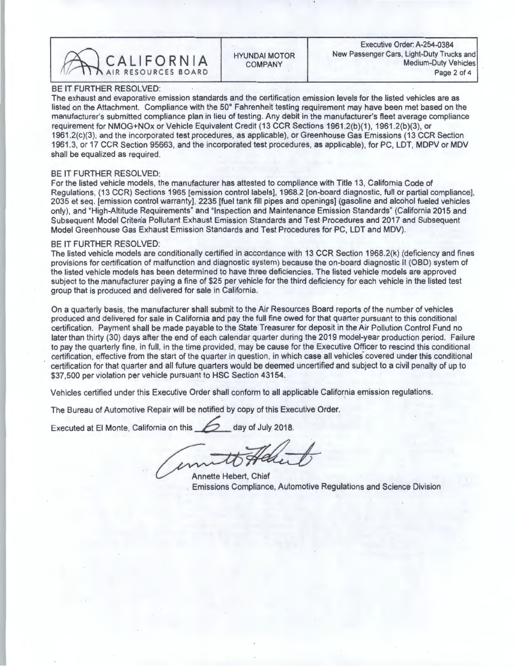CALIFORNIA COMPANY Medium-Duty Vehicles

BE IT FURTHER RESOLVED:<br>The exhaust and evaporative emission standards and the certification emission levels for the listed vehicles are as The exhaust and evaporative emission standards and the certification emission levels for the listed vehicles are as listed on the Attachment. Compliance with the 50 Fahrenheit testing requirement may have been met based on the manufacturer's submitted compliance plan in lieu of testing. Any debit in the manufacturer's fleet average compliance<br>requirement for NMOG+NOx or Vehicle Equivalent Credit (13 CCR Sections 1961.2(b)(1), 1961.2(b)(3), or 1961.2(c)(3), and the incorporated test procedures, as applicable), or Greenhouse Gas Emissions (13 CCR Section 1961.2( $C_1$ ), and the incorporated test procedures, as applicable), or Greenhouse Gas Emissions (13 CCR SECTION) or MDV or GR 1961.3, or 17 CCR Section 95663, and the incorporated test procedures, as applicable), for PC, LDT, MDPV or MDV shall be equalized as required.

BE IT FURTHER RESOLVED:<br>For the listed vehicle models, the manufacturer has attested to compliance with Title 13, California Code of Regulations, (13 CCR) Sections 1965 [emission control labels], 1968.2 [on-board diagnostic, full or partial compliance]. Regulations, (13 CCR) Sections 1965 [emission control labels], 1968.2 [on-board diagnostic, full or partial compliance], 2035 et seq. [emission control warranty], 2235 [fuel tank fill pipes and openings] (gasoline and alcohol fueled vehicles only), and "High-Altitude Requirements" and "Inspection and Maintenance Emission Standards" (California 2015 and Subsequent Model Criteria Pollutant Exhaust Emission Standards and Test Procedures and 2017 and Subsequent Model Greenhouse Gas Exhaust Emission Standards and Test Procedures for PC, LDT and MDV).

BE IT FURTHER RESOLVED:<br>The listed vehicle models are conditionally certified in accordance with 13 CCR Section 1968.2(k) (deficiency and fines The listed vehicle models are conditionally certified in accordance with 13 CCR Section 1968.2(k) (deficiency and finese  $\epsilon$ provisions for certification of malfunction and diagnostic system) because the on-board diagnostic II (OBD) system of the listed vehicle models has been determined to have three deficiencies. The listed vehicle models are approved subject to the manufacturer paying a fine of \$25 per vehicle for the third deficiency for each vehicle in the listed test group that is produced and delivered for sale in California.

On a quarterly basis, the manufacturer shall submit to the Air Resources Board reports of the number of vehicles produced and delivered for sale in California and pay the full fine owed for that quarter pursuant to this conditional certification. Payment shall be made payable to the State Treasurer for deposit in the Air Pollution Control Fund no<br>later than thirty (30) days after the end of each calendar quarter during the 2019 model-year production to pay the quarterly fine, in full, in the time provided, may be cause for the Executive Officer to rescind this conditional o pay the quarterly fine, in full, in the time provided, may be cause for the Executive Officer to rescind this conditional certification, effective from the start of the quarter in question, in which case all vehicles covered under this conditional certification for that quarter and all future quarters would be deemed uncertified and subject to a civil penalty of up to \$37,500 per violation per vehicle pursuant to HSC Section 43154.

Vehicles certified under this Executive Order shall conform to all applicable California emission regulations.

The Bureau of Automotive Repair will be notified by copy of this Executive Order.

Executed at El Monte, California on this 2018.

Annette Hebert, Chief Emissions Compliance, Automotive Regulations and Science Division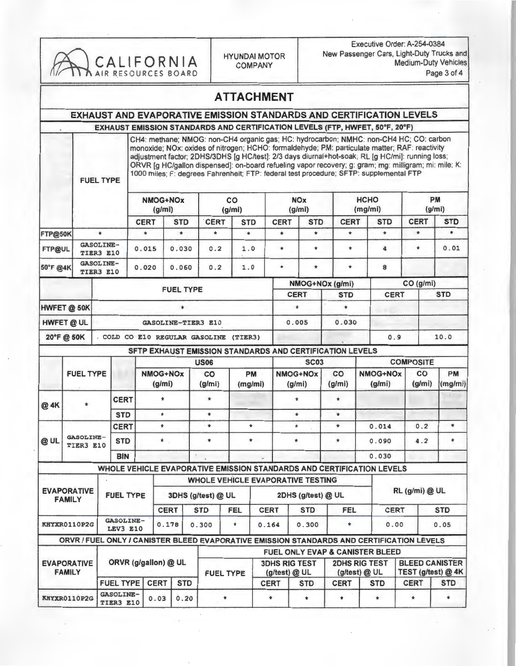| CALIFORNIA<br>AIR RESOURCES BOARD   |                               |                                                    |                               |                                                                                                                                                                                                                                                                                                                                                                                                                                                                                                 |                         |                    |                                                          | <b>HYUNDAI MOTOR</b><br><b>COMPANY</b> |                      |                                                                    |                         | Executive Order: A-254-0384<br>New Passenger Cars, Light-Duty Trucks and<br><b>Medium-Duty Vehicles</b><br>Page 3 of 4 |                       |                                                                                           |                                                 |                        |  |  |
|-------------------------------------|-------------------------------|----------------------------------------------------|-------------------------------|-------------------------------------------------------------------------------------------------------------------------------------------------------------------------------------------------------------------------------------------------------------------------------------------------------------------------------------------------------------------------------------------------------------------------------------------------------------------------------------------------|-------------------------|--------------------|----------------------------------------------------------|----------------------------------------|----------------------|--------------------------------------------------------------------|-------------------------|------------------------------------------------------------------------------------------------------------------------|-----------------------|-------------------------------------------------------------------------------------------|-------------------------------------------------|------------------------|--|--|
|                                     |                               |                                                    |                               |                                                                                                                                                                                                                                                                                                                                                                                                                                                                                                 |                         |                    |                                                          | <b>ATTACHMENT</b>                      |                      |                                                                    |                         |                                                                                                                        |                       |                                                                                           |                                                 |                        |  |  |
|                                     |                               |                                                    |                               |                                                                                                                                                                                                                                                                                                                                                                                                                                                                                                 |                         |                    |                                                          |                                        |                      |                                                                    |                         |                                                                                                                        |                       | EXHAUST AND EVAPORATIVE EMISSION STANDARDS AND CERTIFICATION LEVELS                       |                                                 |                        |  |  |
|                                     |                               |                                                    |                               |                                                                                                                                                                                                                                                                                                                                                                                                                                                                                                 |                         |                    |                                                          |                                        |                      |                                                                    |                         |                                                                                                                        |                       | EXHAUST EMISSION STANDARDS AND CERTIFICATION LEVELS (FTP, HWFET, 50°F, 20°F)              |                                                 |                        |  |  |
|                                     |                               | <b>FUEL TYPE</b>                                   |                               | CH4: methane; NMOG: non-CH4 organic gas; HC: hydrocarbon; NMHC: non-CH4 HC; CO: carbon<br>monoxide; NOx; oxides of nitrogen; HCHO: formaldehyde; PM: particulate matter; RAF: reactivity<br>adjustment factor; 2DHS/3DHS [g HC/test]: 2/3 days diurnal+hot-soak; RL [g HC/mi]: running loss;<br>ORVR [g HC/gallon dispensed]: on-board refueling vapor recovery; g: gram; mg: milligram; mi: mile; K:<br>1000 miles; F: degrees Fahrenheit; FTP: federal test procedure; SFTP: supplemental FTP |                         |                    |                                                          |                                        |                      |                                                                    |                         |                                                                                                                        |                       |                                                                                           |                                                 |                        |  |  |
|                                     |                               |                                                    |                               |                                                                                                                                                                                                                                                                                                                                                                                                                                                                                                 |                         |                    |                                                          |                                        | NMOG+NOx<br>(g/mi)   |                                                                    |                         | co<br>(g/ml)                                                                                                           |                       | <b>NOx</b><br>(g/mi)                                                                      |                                                 | <b>HCHO</b><br>(mg/mi) |  |  |
|                                     |                               |                                                    |                               | <b>CERT</b>                                                                                                                                                                                                                                                                                                                                                                                                                                                                                     |                         | <b>STD</b>         | <b>CERT</b>                                              | <b>STD</b>                             |                      | <b>CERT</b>                                                        | <b>STD</b>              | <b>CERT</b>                                                                                                            |                       | <b>STD</b>                                                                                | <b>CERT</b>                                     | <b>STD</b>             |  |  |
| FTP@50K                             |                               | $\star$                                            |                               | $\star$                                                                                                                                                                                                                                                                                                                                                                                                                                                                                         |                         | $\star$            | $\star$                                                  | $\star$                                |                      | $\star$                                                            | $\star$                 | $\star$                                                                                                                |                       | $\pm$                                                                                     | $\pm$                                           | $\ast$                 |  |  |
| FTP@UL                              | <b>GASOLINE-</b><br>TIER3 E10 |                                                    |                               | 0.015                                                                                                                                                                                                                                                                                                                                                                                                                                                                                           |                         | 0.030              | 0.2                                                      | 1.0                                    |                      | $\star$                                                            | $\star$                 | $\star$                                                                                                                |                       | 4                                                                                         | $\star$                                         | 0.01                   |  |  |
| 50°F @4K                            |                               | <b>GASOLINE-</b><br>TIER3 E10                      |                               | 0.020                                                                                                                                                                                                                                                                                                                                                                                                                                                                                           |                         | 0.060              | 0.2                                                      | 1.0                                    |                      | $\bullet$                                                          | $\pm$                   | $\ast$                                                                                                                 |                       | 8                                                                                         |                                                 |                        |  |  |
|                                     |                               |                                                    |                               |                                                                                                                                                                                                                                                                                                                                                                                                                                                                                                 |                         |                    |                                                          |                                        |                      |                                                                    | NMOG+NOx (g/mi)         |                                                                                                                        |                       |                                                                                           | CO (g/mi)                                       |                        |  |  |
|                                     |                               |                                                    |                               |                                                                                                                                                                                                                                                                                                                                                                                                                                                                                                 |                         | <b>FUEL TYPE</b>   |                                                          |                                        |                      |                                                                    | <b>CERT</b>             | <b>STD</b>                                                                                                             | <b>CERT</b>           |                                                                                           |                                                 | <b>STD</b>             |  |  |
| HWFET @ 50K<br>$\ast$               |                               |                                                    |                               |                                                                                                                                                                                                                                                                                                                                                                                                                                                                                                 |                         |                    |                                                          |                                        |                      | $\ast$                                                             | $\pmb{\ast}$            |                                                                                                                        |                       |                                                                                           |                                                 |                        |  |  |
|                                     | <b>HWFET @ UL</b>             |                                                    |                               |                                                                                                                                                                                                                                                                                                                                                                                                                                                                                                 |                         |                    | GASOLINE-TIER3 E10                                       |                                        |                      |                                                                    | 0.005                   | 0.030                                                                                                                  |                       |                                                                                           |                                                 |                        |  |  |
|                                     | 20°F @ 50K                    |                                                    |                               |                                                                                                                                                                                                                                                                                                                                                                                                                                                                                                 |                         |                    | COLD CO E10 REGULAR GASOLINE (TIER3)                     |                                        |                      |                                                                    |                         |                                                                                                                        |                       | 0.9                                                                                       |                                                 | 10.0                   |  |  |
|                                     |                               |                                                    |                               |                                                                                                                                                                                                                                                                                                                                                                                                                                                                                                 |                         |                    | SFTP EXHAUST EMISSION STANDARDS AND CERTIFICATION LEVELS |                                        |                      |                                                                    |                         |                                                                                                                        |                       |                                                                                           |                                                 |                        |  |  |
|                                     |                               |                                                    |                               |                                                                                                                                                                                                                                                                                                                                                                                                                                                                                                 |                         |                    | <b>US06</b>                                              |                                        |                      |                                                                    | <b>SC03</b><br>NMOG+NOx |                                                                                                                        |                       | <b>COMPOSITE</b><br><b>PM</b><br>NMOG+NOx                                                 |                                                 |                        |  |  |
|                                     | <b>FUEL TYPE</b>              |                                                    |                               |                                                                                                                                                                                                                                                                                                                                                                                                                                                                                                 | NMOG+NOx<br>(g/mi)      |                    | CO<br>(g/mi)                                             |                                        | <b>PM</b><br>(mg/mi) |                                                                    | (g/mi)                  | CO<br>(g/mi)                                                                                                           |                       | (g/mi)                                                                                    | CO<br>(g/mi)                                    | (mg/mi)                |  |  |
| @ 4K                                |                               | <b>CERT</b><br>$\star$                             |                               |                                                                                                                                                                                                                                                                                                                                                                                                                                                                                                 | $\pmb{\ast}$<br>$\star$ |                    | $\pm$<br>$\ast$                                          |                                        |                      |                                                                    | $\pmb{\ast}$<br>$\star$ | $\pm$<br>$\pmb{\ast}$                                                                                                  |                       |                                                                                           |                                                 |                        |  |  |
|                                     |                               | <b>STD</b><br><b>CERT</b>                          |                               |                                                                                                                                                                                                                                                                                                                                                                                                                                                                                                 | $\star$                 |                    | $\ddot{\phantom{1}}$                                     |                                        | $\star$              |                                                                    | $\bullet$               | $\star$                                                                                                                | 0.014                 |                                                                                           | 0.2                                             | $\pmb{\ast}$           |  |  |
| @UL                                 |                               | GASOLINE-<br><b>STD</b><br>TIER3 E10<br><b>BIN</b> |                               |                                                                                                                                                                                                                                                                                                                                                                                                                                                                                                 | $\star$ .               |                    | $\pmb{\ast}$                                             |                                        | $\pmb{\ast}$         |                                                                    | $\pmb{\ast}$            | $\pmb{\hat{\pi}}$                                                                                                      | 0.090                 |                                                                                           | 4.2                                             | *                      |  |  |
|                                     |                               |                                                    |                               |                                                                                                                                                                                                                                                                                                                                                                                                                                                                                                 |                         |                    | $\,$                                                     |                                        |                      |                                                                    |                         |                                                                                                                        |                       | 0.030                                                                                     |                                                 |                        |  |  |
|                                     |                               |                                                    |                               |                                                                                                                                                                                                                                                                                                                                                                                                                                                                                                 |                         |                    |                                                          |                                        |                      |                                                                    |                         |                                                                                                                        |                       | WHOLE VEHICLE EVAPORATIVE EMISSION STANDARDS AND CERTIFICATION LEVELS                     |                                                 |                        |  |  |
|                                     |                               |                                                    |                               |                                                                                                                                                                                                                                                                                                                                                                                                                                                                                                 |                         |                    | <b>WHOLE VEHICLE EVAPORATIVE TESTING</b>                 |                                        |                      |                                                                    |                         |                                                                                                                        |                       |                                                                                           |                                                 |                        |  |  |
| <b>EVAPORATIVE</b><br><b>FAMILY</b> |                               |                                                    | <b>FUEL TYPE</b>              |                                                                                                                                                                                                                                                                                                                                                                                                                                                                                                 |                         | 3DHS (g/test) @ UL |                                                          |                                        |                      |                                                                    | 2DHS (g/test) @ UL      |                                                                                                                        |                       |                                                                                           | RL (g/mi) @ UL                                  |                        |  |  |
|                                     |                               |                                                    |                               | CERT<br>GASOLINE-                                                                                                                                                                                                                                                                                                                                                                                                                                                                               |                         |                    | STD<br><b>FEL</b>                                        |                                        | CERT                 |                                                                    | <b>STD</b>              | FEL                                                                                                                    |                       | <b>CERT</b>                                                                               |                                                 | <b>STD</b>             |  |  |
|                                     | KHYXR0110P2G                  |                                                    | LEV3 E10                      |                                                                                                                                                                                                                                                                                                                                                                                                                                                                                                 | 0.178                   |                    | 0.300                                                    | 0.164<br>$\star$                       |                      |                                                                    | 0.300                   | 0.05<br>$\star$<br>0.00                                                                                                |                       |                                                                                           |                                                 |                        |  |  |
|                                     |                               |                                                    |                               |                                                                                                                                                                                                                                                                                                                                                                                                                                                                                                 |                         |                    |                                                          |                                        |                      |                                                                    |                         |                                                                                                                        |                       | ORVR / FUEL ONLY / CANISTER BLEED EVAPORATIVE EMISSION STANDARDS AND CERTIFICATION LEVELS |                                                 |                        |  |  |
|                                     | <b>EVAPORATIVE</b>            |                                                    |                               | ORVR (g/gallon) @ UL                                                                                                                                                                                                                                                                                                                                                                                                                                                                            |                         |                    |                                                          | <b>3DHS RIG TEST</b>                   |                      | <b>FUEL ONLY EVAP &amp; CANISTER BLEED</b><br><b>2DHS RIG TEST</b> |                         |                                                                                                                        | <b>BLEED CANISTER</b> |                                                                                           |                                                 |                        |  |  |
|                                     | <b>FAMILY</b>                 |                                                    | <b>FUEL TYPE</b>              |                                                                                                                                                                                                                                                                                                                                                                                                                                                                                                 | <b>CERT</b>             | <b>STD</b>         | <b>FUEL TYPE</b>                                         |                                        |                      | (g/test) @ UL<br><b>CERT</b><br><b>STD</b>                         |                         | (g/test) @ UL<br><b>CERT</b>                                                                                           |                       | <b>STD</b>                                                                                | TEST (g/test) @ 4K<br><b>CERT</b><br><b>STD</b> |                        |  |  |
| KHYXR0110P2G                        |                               |                                                    | <b>GASOLINE-</b><br>TIER3 E10 |                                                                                                                                                                                                                                                                                                                                                                                                                                                                                                 | 0.03                    | 0.20               | $\ast$                                                   |                                        |                      | $\ast$                                                             | $\star$                 | $\ast$                                                                                                                 |                       | $\pmb{\ast}$                                                                              | $\pmb{\ast}$                                    | $\pmb{\ast}$           |  |  |

ł,

 $\epsilon$